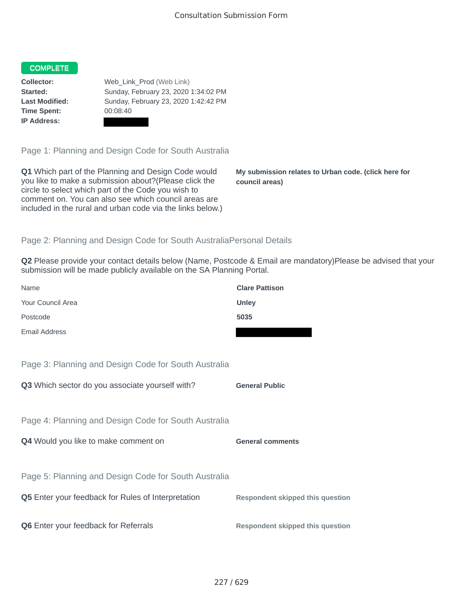### COMPLETE

**Time Spent:** 00:08:40 **IP Address:**

**Collector:** Web\_Link\_Prod (Web Link) **Started:** Sunday, February 23, 2020 1:34:02 PM **Last Modified:** Sunday, February 23, 2020 1:42:42 PM

Page 1: Planning and Design Code for South Australia

**Q1** Which part of the Planning and Design Code would you like to make a submission about?(Please click the circle to select which part of the Code you wish to comment on. You can also see which council areas are included in the rural and urban code via the links below.)

**My submission relates to Urban code. (click here for council areas)**

## Page 2: Planning and Design Code for South AustraliaPersonal Details

**Q2** Please provide your contact details below (Name, Postcode & Email are mandatory)Please be advised that your submission will be made publicly available on the SA Planning Portal.

| Name                                                      | <b>Clare Pattison</b>                   |
|-----------------------------------------------------------|-----------------------------------------|
| Your Council Area                                         | <b>Unley</b>                            |
| Postcode                                                  | 5035                                    |
| <b>Email Address</b>                                      |                                         |
|                                                           |                                         |
| Page 3: Planning and Design Code for South Australia      |                                         |
| Q3 Which sector do you associate yourself with?           | <b>General Public</b>                   |
|                                                           |                                         |
| Page 4: Planning and Design Code for South Australia      |                                         |
| Q4 Would you like to make comment on                      | <b>General comments</b>                 |
|                                                           |                                         |
| Page 5: Planning and Design Code for South Australia      |                                         |
| <b>Q5</b> Enter your feedback for Rules of Interpretation | <b>Respondent skipped this question</b> |
|                                                           |                                         |
| Q6 Enter your feedback for Referrals                      | Respondent skipped this question        |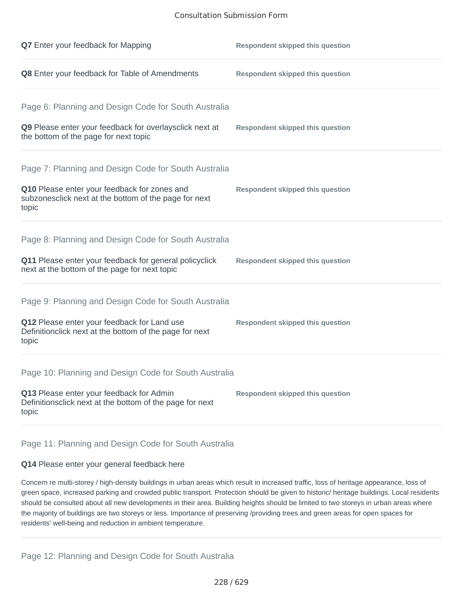#### Consultation Submission Form

| <b>Q7</b> Enter your feedback for Mapping                                                                       | <b>Respondent skipped this question</b> |
|-----------------------------------------------------------------------------------------------------------------|-----------------------------------------|
| Q8 Enter your feedback for Table of Amendments                                                                  | <b>Respondent skipped this question</b> |
| Page 6: Planning and Design Code for South Australia                                                            |                                         |
| Q9 Please enter your feedback for overlaysclick next at<br>the bottom of the page for next topic                | <b>Respondent skipped this question</b> |
| Page 7: Planning and Design Code for South Australia                                                            |                                         |
| Q10 Please enter your feedback for zones and<br>subzonesclick next at the bottom of the page for next<br>topic  | <b>Respondent skipped this question</b> |
| Page 8: Planning and Design Code for South Australia                                                            |                                         |
| Q11 Please enter your feedback for general policyclick<br>next at the bottom of the page for next topic         | <b>Respondent skipped this question</b> |
| Page 9: Planning and Design Code for South Australia                                                            |                                         |
| Q12 Please enter your feedback for Land use<br>Definitionclick next at the bottom of the page for next<br>topic | <b>Respondent skipped this question</b> |
| Page 10: Planning and Design Code for South Australia                                                           |                                         |
| Q13 Please enter your feedback for Admin<br>Definitionsclick next at the bottom of the page for next<br>topic   | <b>Respondent skipped this question</b> |

# Page 11: Planning and Design Code for South Australia

## **Q14** Please enter your general feedback here

Concern re multi-storey / high-density buildings in urban areas which result in increased traffic, loss of heritage appearance, loss of green space, increased parking and crowded public transport. Protection should be given to historic/ heritage buildings. Local residents should be consulted about all new developments in their area. Building heights should be limited to two storeys in urban areas where the majority of buildings are two storeys or less. Importance of preserving /providing trees and green areas for open spaces for residents' well-being and reduction in ambient temperature.